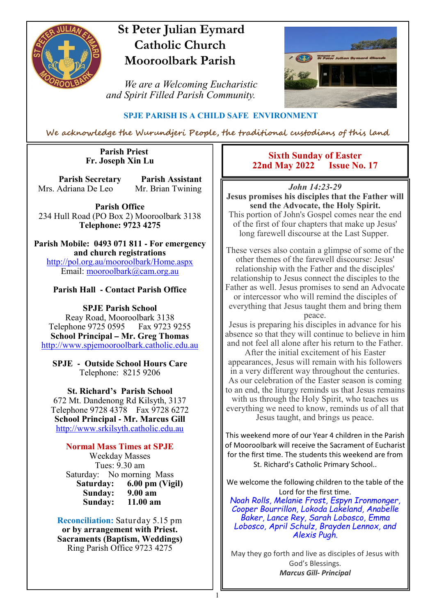

# **St Peter Julian Eymard Catholic Church Mooroolbark Parish**

 *We are a Welcoming Eucharistic and Spirit Filled Parish Community.*



### **SPJE PARISH IS A CHILD SAFE ENVIRONMENT**

We acknowledge the Wurundjeri People, the traditional custodians of this land

1

#### **Parish Priest Fr. Joseph Xin Lu**

**Parish Secretary Parish Assistant** Mrs. Adriana De Leo Mr. Brian Twining

**Parish Office** 234 Hull Road (PO Box 2) Mooroolbark 3138 **Telephone: 9723 4275** 

**Parish Mobile: 0493 071 811 - For emergency and church registrations** http://pol.org.au/mooroolbark/Home.aspx Email: mooroolbark@cam.org.au

### **Parish Hall - Contact Parish Office**

**SPJE Parish School** Reay Road, Mooroolbark 3138 Telephone 9725 0595 Fax 9723 9255 **School Principal – Mr. Greg Thomas** http://www.spjemooroolbark.catholic.edu.au

**SPJE - Outside School Hours Care** Telephone: 8215 9206

**St. Richard's Parish School** 672 Mt. Dandenong Rd Kilsyth, 3137 Telephone 9728 4378 Fax 9728 6272 **School Principal - Mr. Marcus Gill** http://www.srkilsyth.catholic.edu.au

**Normal Mass Times at SPJE**  Weekday Masses Tues: 9.30 am Saturday: No morning Mass<br>Saturday: 6.00 pm (Vig **6.00 pm (Vigil)**<br>9.00 am **Sunday: 9.00 am** Sunday:

**Reconciliation:** Saturday 5.15 pm **or by arrangement with Priest. Sacraments (Baptism, Weddings)**  Ring Parish Office 9723 4275

### **Sixth Sunday of Easter<br>d May 2022 <b>Issue No. 17 22nd May 2022**

*John 14:23-29*

**Jesus promises his disciples that the Father will send the Advocate, the Holy Spirit.**

This portion of John's Gospel comes near the end of the first of four chapters that make up Jesus' long farewell discourse at the Last Supper.

These verses also contain a glimpse of some of the other themes of the farewell discourse: Jesus' relationship with the Father and the disciples' relationship to Jesus connect the disciples to the Father as well. Jesus promises to send an Advocate or intercessor who will remind the disciples of everything that Jesus taught them and bring them peace.

Jesus is preparing his disciples in advance for his absence so that they will continue to believe in him and not feel all alone after his return to the Father.

After the initial excitement of his Easter appearances, Jesus will remain with his followers in a very different way throughout the centuries. As our celebration of the Easter season is coming to an end, the liturgy reminds us that Jesus remains with us through the Holy Spirit, who teaches us everything we need to know, reminds us of all that Jesus taught, and brings us peace.

This weekend more of our Year 4 children in the Parish of Mooroolbark will receive the Sacrament of Eucharist for the first time. The students this weekend are from St. Richard's Catholic Primary School..

We welcome the following children to the table of the Lord for the first time.

*Noah Rolls, Melanie Frost, Espyn Ironmonger, Cooper Bourrillon, Lokoda Lakeland, Anabelle Baker, Lance Rey, Sarah Lobosco, Emma Lobosco, April Schulz, Brayden Lennox, and Alexis Pugh.*

May they go forth and live as disciples of Jesus with God's Blessings. *Marcus Gill- Principal*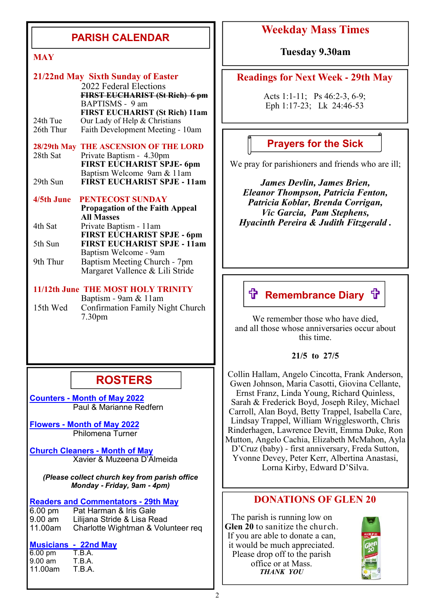## **PARISH CALENDAR**

|               | 21/22nd May Sixth Sunday of Easter<br>2022 Federal Elections<br><b>FIRST EUCHARIST (St Rich) 6 pm</b><br>BAPTISMS - 9 am |
|---------------|--------------------------------------------------------------------------------------------------------------------------|
| 24th Tue      | <b>FIRST EUCHARIST (St Rich) 11am</b><br>Our Lady of Help & Christians                                                   |
| 26th Thur     | Faith Development Meeting - 10am                                                                                         |
| $28/29th$ May | THE ASCENSION OF THE LORD                                                                                                |
| 28th Sat      | Private Baptism - 4.30pm                                                                                                 |
|               | FIRST EUCHARIST SPJE- 6pm                                                                                                |
| 29th Sun      | Baptism Welcome 9am & 11am<br><b>FIRST EUCHARIST SPJE - 11am</b>                                                         |
|               |                                                                                                                          |
| 4/5th June    | <b>PENTECOST SUNDAY</b>                                                                                                  |
|               | <b>Propagation of the Faith Appeal</b>                                                                                   |
|               | <b>All Masses</b>                                                                                                        |
| 4th Sat       | Private Baptism - 11am                                                                                                   |
| 5th Sun       | <b>FIRST EUCHARIST SPJE - 6pm</b><br><b>FIRST EUCHARIST SPJE - 11am</b>                                                  |
|               | Baptism Welcome - 9am                                                                                                    |
| 9th Thur      | Baptism Meeting Church - 7pm                                                                                             |
|               | Margaret Vallence & Lili Stride                                                                                          |
|               |                                                                                                                          |

#### **11/12th June THE MOST HOLY TRINITY** Baptism - 9am & 11am

15th Wed Confirmation Family Night Church 7.30pm

# **ROSTERS**

**Counters - Month of May 2022** Paul & Marianne Redfern

**Flowers - Month of May 2022** Philomena Turner

**Church Cleaners - Month of May** Xavier & Muzeena D'Almeida

*(Please collect church key from parish office Monday* **-** *Friday, 9am* **-** *4pm)*

**Readers and Commentators - 29th May**<br>**6.00 pm** Pat Harman & Iris Gale

Pat Harman & Iris Gale 9.00 am Lilijana Stride & Lisa Read<br>11.00am Charlotte Wightman & Volu Charlotte Wightman & Volunteer req

# **Musicians - 22nd May**

6.00 pm T.B.A.<br>9.00 am T.B.A. 9.00 am T.B.A. 11.00am

### **Weekday Mass Times**

**MAY Tuesday 9.30am** 

### **Readings for Next Week - 29th May**

Acts 1:1-11; Ps 46:2-3, 6-9; Eph 1:17-23; Lk 24:46-53

### **Prayers for the Sick**

We pray for parishioners and friends who are ill;

*James Devlin, James Brien, Eleanor Thompson, Patricia Fenton, Patricia Koblar, Brenda Corrigan, Vic Garcia, Pam Stephens, Hyacinth Pereira & Judith Fitzgerald .*

# **ft Remembrance Diary ft**

We remember those who have died, and all those whose anniversaries occur about this time.

#### **21/5 to 27/5**

Collin Hallam, Angelo Cincotta, Frank Anderson, Gwen Johnson, Maria Casotti, Giovina Cellante, Ernst Franz, Linda Young, Richard Quinless, Sarah & Frederick Boyd, Joseph Riley, Michael Carroll, Alan Boyd, Betty Trappel, Isabella Care, Lindsay Trappel, William Wrigglesworth, Chris Rinderhagen, Lawrence Devitt, Emma Duke, Ron Mutton, Angelo Cachia, Elizabeth McMahon, Ayla D'Cruz (baby) - first anniversary, Freda Sutton, Yvonne Devey, Peter Kerr, Albertina Anastasi, Lorna Kirby, Edward D'Silva.

### **DONATIONS OF GLEN 20**

The parish is running low on **Glen 20** to sanitize the church. If you are able to donate a can, it would be much appreciated. Please drop off to the parish office or at Mass. *THANK YOU*